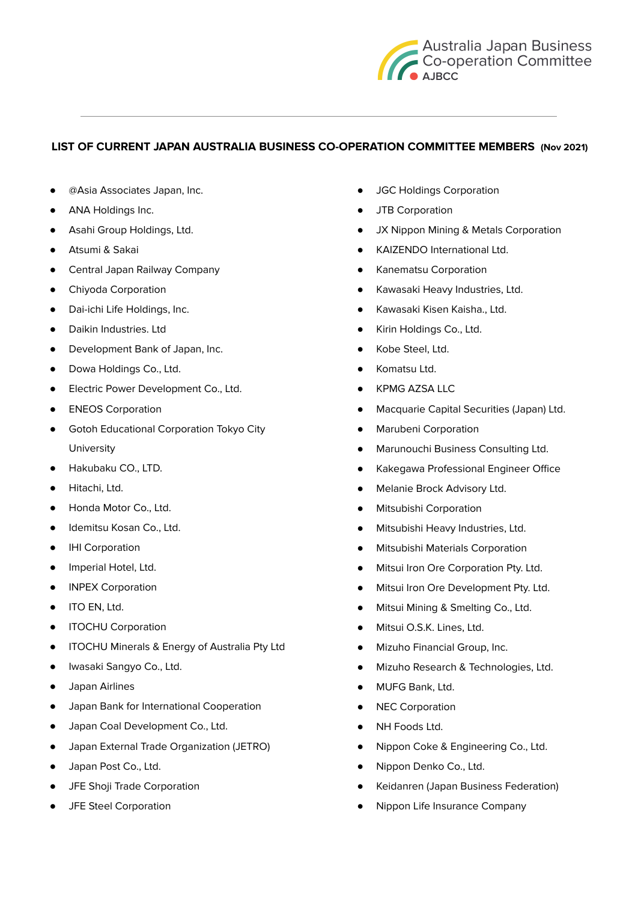

## **LIST OF CURRENT JAPAN AUSTRALIA BUSINESS CO-OPERATION COMMITTEE MEMBERS (Nov 2021)**

- @Asia Associates Japan, Inc.
- ANA Holdings Inc.
- Asahi Group Holdings, Ltd.
- Atsumi & Sakai
- Central Japan Railway Company
- Chiyoda Corporation
- Dai-ichi Life Holdings, Inc.
- Daikin Industries. Ltd
- Development Bank of Japan, Inc.
- Dowa Holdings Co., Ltd.
- Electric Power Development Co., Ltd.
- ENEOS Corporation
- Gotoh Educational Corporation Tokyo City University
- Hakubaku CO., LTD.
- Hitachi, Ltd.
- Honda Motor Co., Ltd.
- Idemitsu Kosan Co., Ltd.
- IHI Corporation
- Imperial Hotel, Ltd.
- INPEX Corporation
- ITO EN, Ltd.
- ITOCHU Corporation
- ITOCHU Minerals & Energy of Australia Pty Ltd
- Iwasaki Sangyo Co., Ltd.
- Japan Airlines
- Japan Bank for International Cooperation
- Japan Coal Development Co., Ltd.
- Japan External Trade Organization (JETRO)
- Japan Post Co., Ltd.
- JFE Shoji Trade Corporation
- JFE Steel Corporation
- **JGC Holdings Corporation**
- JTB Corporation
- JX Nippon Mining & Metals Corporation
- KAIZENDO International Ltd.
- Kanematsu Corporation
- Kawasaki Heavy Industries, Ltd.
- Kawasaki Kisen Kaisha., Ltd.
- Kirin Holdings Co., Ltd.
- Kobe Steel, Ltd.
- Komatsu Ltd.
- KPMG AZSA LLC
- Macquarie Capital Securities (Japan) Ltd.
- Marubeni Corporation
- Marunouchi Business Consulting Ltd.
- Kakegawa Professional Engineer Office
- Melanie Brock Advisory Ltd.
- Mitsubishi Corporation
- Mitsubishi Heavy Industries, Ltd.
- Mitsubishi Materials Corporation
- Mitsui Iron Ore Corporation Pty. Ltd.
- Mitsui Iron Ore Development Pty. Ltd.
- Mitsui Mining & Smelting Co., Ltd.
- Mitsui O.S.K. Lines, Ltd.
- Mizuho Financial Group, Inc.
- Mizuho Research & Technologies, Ltd.
- MUFG Bank, Ltd.
- NEC Corporation
- NH Foods Ltd.
- Nippon Coke & Engineering Co., Ltd.
- Nippon Denko Co., Ltd.
- Keidanren (Japan Business Federation)
- Nippon Life Insurance Company